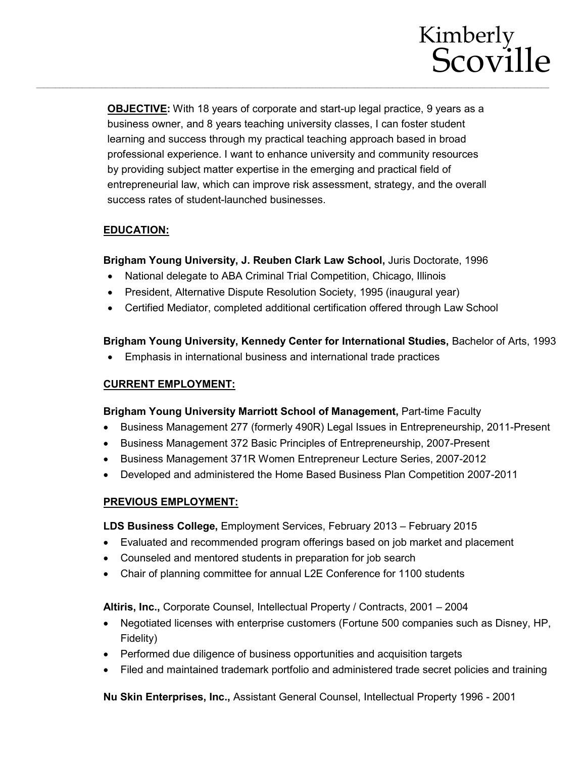

**OBJECTIVE:** With 18 years of corporate and start-up legal practice, 9 years as a business owner, and 8 years teaching university classes, I can foster student learning and success through my practical teaching approach based in broad professional experience. I want to enhance university and community resources by providing subject matter expertise in the emerging and practical field of entrepreneurial law, which can improve risk assessment, strategy, and the overall success rates of student-launched businesses.

# **EDUCATION:**

**Brigham Young University, J. Reuben Clark Law School,** Juris Doctorate, 1996

- National delegate to ABA Criminal Trial Competition, Chicago, Illinois
- President, Alternative Dispute Resolution Society, 1995 (inaugural year)
- Certified Mediator, completed additional certification offered through Law School

### **Brigham Young University, Kennedy Center for International Studies,** Bachelor of Arts, 1993

• Emphasis in international business and international trade practices

#### **CURRENT EMPLOYMENT:**

#### **Brigham Young University Marriott School of Management,** Part-time Faculty

- Business Management 277 (formerly 490R) Legal Issues in Entrepreneurship, 2011-Present
- Business Management 372 Basic Principles of Entrepreneurship, 2007-Present
- Business Management 371R Women Entrepreneur Lecture Series, 2007-2012
- Developed and administered the Home Based Business Plan Competition 2007-2011

# **PREVIOUS EMPLOYMENT:**

**LDS Business College,** Employment Services, February 2013 – February 2015

- Evaluated and recommended program offerings based on job market and placement
- Counseled and mentored students in preparation for job search
- Chair of planning committee for annual L2E Conference for 1100 students

**Altiris, Inc.,** Corporate Counsel, Intellectual Property / Contracts, 2001 – 2004

- Negotiated licenses with enterprise customers (Fortune 500 companies such as Disney, HP, Fidelity)
- Performed due diligence of business opportunities and acquisition targets
- Filed and maintained trademark portfolio and administered trade secret policies and training

**Nu Skin Enterprises, Inc.,** Assistant General Counsel, Intellectual Property 1996 - 2001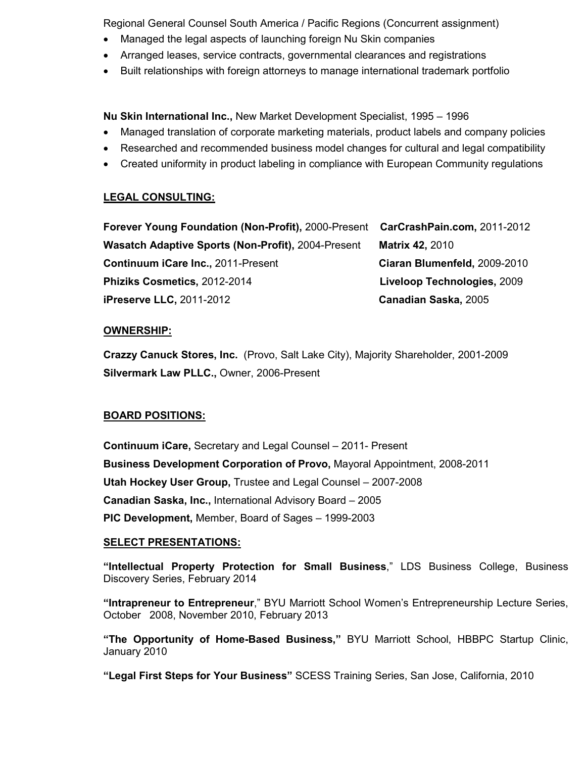Regional General Counsel South America / Pacific Regions (Concurrent assignment)

- Managed the legal aspects of launching foreign Nu Skin companies
- Arranged leases, service contracts, governmental clearances and registrations
- Built relationships with foreign attorneys to manage international trademark portfolio

**Nu Skin International Inc.,** New Market Development Specialist, 1995 – 1996

- Managed translation of corporate marketing materials, product labels and company policies
- Researched and recommended business model changes for cultural and legal compatibility
- Created uniformity in product labeling in compliance with European Community regulations

# **LEGAL CONSULTING:**

**Forever Young Foundation (Non-Profit),** 2000-Present **CarCrashPain.com,** 2011-2012 **Wasatch Adaptive Sports (Non-Profit),** 2004-Present **Matrix 42,** 2010 **Continuum iCare Inc.,** 2011-Present **Ciaran Blumenfeld,** 2009-2010 **Phiziks Cosmetics,** 2012-2014 **Liveloop Technologies,** 2009 **iPreserve LLC,** 2011-2012 **Canadian Saska,** 2005

### **OWNERSHIP:**

**Crazzy Canuck Stores, Inc.** (Provo, Salt Lake City), Majority Shareholder, 2001-2009 **Silvermark Law PLLC.,** Owner, 2006-Present

# **BOARD POSITIONS:**

**Continuum iCare,** Secretary and Legal Counsel – 2011- Present **Business Development Corporation of Provo,** Mayoral Appointment, 2008-2011 **Utah Hockey User Group,** Trustee and Legal Counsel – 2007-2008 **Canadian Saska, Inc.,** International Advisory Board – 2005 **PIC Development,** Member, Board of Sages – 1999-2003

#### **SELECT PRESENTATIONS:**

**"Intellectual Property Protection for Small Business**," LDS Business College, Business Discovery Series, February 2014

**"Intrapreneur to Entrepreneur**," BYU Marriott School Women's Entrepreneurship Lecture Series, October 2008, November 2010, February 2013

**"The Opportunity of Home-Based Business,"** BYU Marriott School, HBBPC Startup Clinic, January 2010

**"Legal First Steps for Your Business"** SCESS Training Series, San Jose, California, 2010